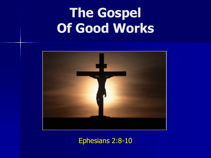

#### Ephesians 2:8-10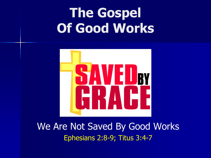

We Are Not Saved By Good Works Ephesians 2:8-9; Titus 3:4-7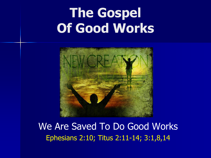

We Are Saved To Do Good Works Ephesians 2:10; Titus 2:11-14; 3:1,8,14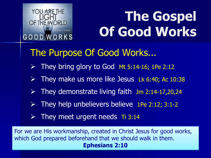

### The Purpose Of Good Works...

- $\triangleright$  They bring glory to God Mt 5:14-16; 1Pe 2:12
- $\triangleright$  They make us more like Jesus Lk 6:40; Ac 10:38
- $\triangleright$  They demonstrate living faith Jm 2:14-17,20,24
- $\triangleright$  They help unbelievers believe 1Pe 2:12; 3:1-2
- $\triangleright$  They meet urgent needs Ti 3:14

For we are His workmanship, created in Christ Jesus for good works, which God prepared beforehand that we should walk in them. **Ephesians 2:10**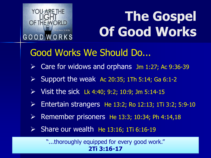

### Good Works We Should Do...

- $\triangleright$  Care for widows and orphans Jm 1:27; Ac 9:36-39
- $\triangleright$  Support the weak Ac 20:35; 1Th 5:14; Ga 6:1-2
- $\triangleright$  Visit the sick Lk 4:40; 9:2; 10:9; Jm 5:14-15
- Entertain strangers He 13:2; Ro 12:13; 1Ti 3:2; 5:9-10
- Remember prisoners He 13:3; 10:34; Ph 4:14,18
- $\triangleright$  Share our wealth He 13:16; 1Ti 6:16-19

"...thoroughly equipped for every good work." **2Ti 3:16-17**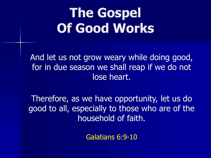And let us not grow weary while doing good, for in due season we shall reap if we do not lose heart.

Therefore, as we have opportunity, let us do good to all, especially to those who are of the household of faith.

Galatians 6:9-10